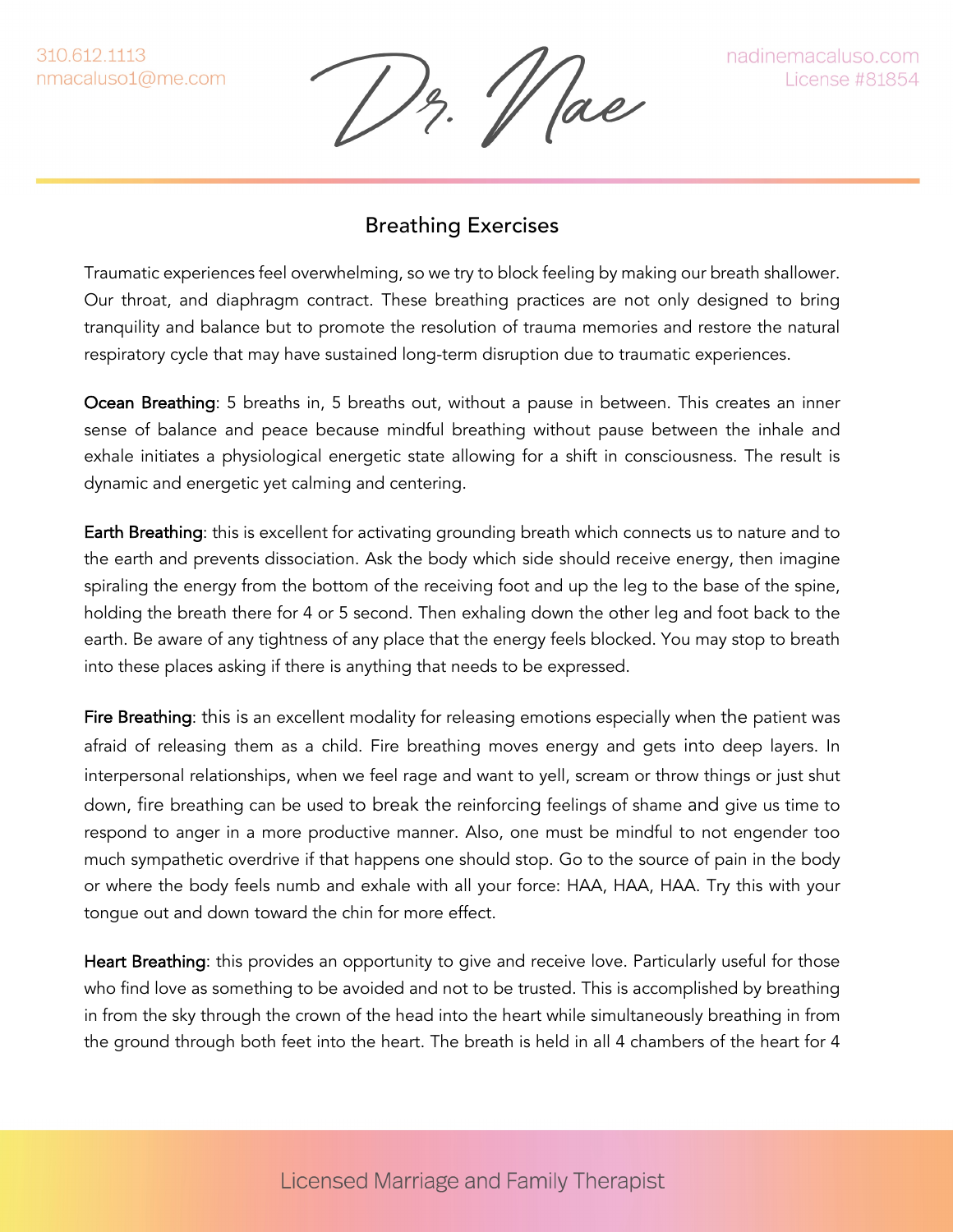310.612.1113 nmacaluso1@me.com

'/ ae

nadinemacaluso.com License #81854

## Breathing Exercises

Traumatic experiences feel overwhelming, so we try to block feeling by making our breath shallower. Our throat, and diaphragm contract. These breathing practices are not only designed to bring tranquility and balance but to promote the resolution of trauma memories and restore the natural respiratory cycle that may have sustained long-term disruption due to traumatic experiences.

Ocean Breathing: 5 breaths in, 5 breaths out, without a pause in between. This creates an inner sense of balance and peace because mindful breathing without pause between the inhale and exhale initiates a physiological energetic state allowing for a shift in consciousness. The result is dynamic and energetic yet calming and centering.

Earth Breathing: this is excellent for activating grounding breath which connects us to nature and to the earth and prevents dissociation. Ask the body which side should receive energy, then imagine spiraling the energy from the bottom of the receiving foot and up the leg to the base of the spine, holding the breath there for 4 or 5 second. Then exhaling down the other leg and foot back to the earth. Be aware of any tightness of any place that the energy feels blocked. You may stop to breath into these places asking if there is anything that needs to be expressed.

Fire Breathing: this is an excellent modality for releasing emotions especially when the patient was afraid of releasing them as a child. Fire breathing moves energy and gets into deep layers. In interpersonal relationships, when we feel rage and want to yell, scream or throw things or just shut down, fire breathing can be used to break the reinforcing feelings of shame and give us time to respond to anger in a more productive manner. Also, one must be mindful to not engender too much sympathetic overdrive if that happens one should stop. Go to the source of pain in the body or where the body feels numb and exhale with all your force: HAA, HAA, HAA. Try this with your tongue out and down toward the chin for more effect.

Heart Breathing: this provides an opportunity to give and receive love. Particularly useful for those who find love as something to be avoided and not to be trusted. This is accomplished by breathing in from the sky through the crown of the head into the heart while simultaneously breathing in from the ground through both feet into the heart. The breath is held in all 4 chambers of the heart for 4